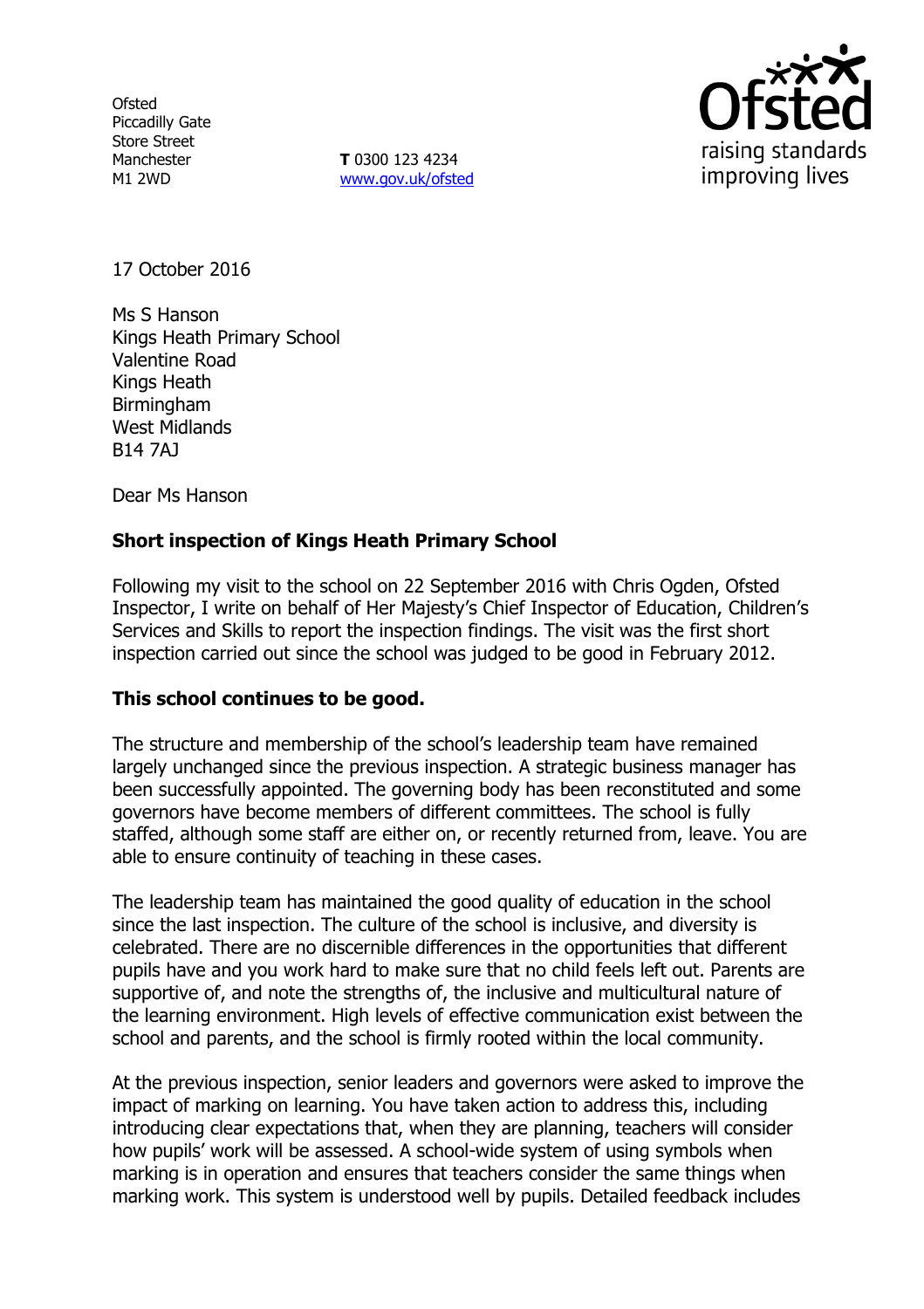**Ofsted** Piccadilly Gate Store Street Manchester M1 2WD

**T** 0300 123 4234 www.gov.uk/ofsted



17 October 2016

Ms S Hanson Kings Heath Primary School Valentine Road Kings Heath **Birmingham** West Midlands B14 7AJ

Dear Ms Hanson

### **Short inspection of Kings Heath Primary School**

Following my visit to the school on 22 September 2016 with Chris Ogden, Ofsted Inspector, I write on behalf of Her Majesty's Chief Inspector of Education, Children's Services and Skills to report the inspection findings. The visit was the first short inspection carried out since the school was judged to be good in February 2012.

#### **This school continues to be good.**

The structure and membership of the school's leadership team have remained largely unchanged since the previous inspection. A strategic business manager has been successfully appointed. The governing body has been reconstituted and some governors have become members of different committees. The school is fully staffed, although some staff are either on, or recently returned from, leave. You are able to ensure continuity of teaching in these cases.

The leadership team has maintained the good quality of education in the school since the last inspection. The culture of the school is inclusive, and diversity is celebrated. There are no discernible differences in the opportunities that different pupils have and you work hard to make sure that no child feels left out. Parents are supportive of, and note the strengths of, the inclusive and multicultural nature of the learning environment. High levels of effective communication exist between the school and parents, and the school is firmly rooted within the local community.

At the previous inspection, senior leaders and governors were asked to improve the impact of marking on learning. You have taken action to address this, including introducing clear expectations that, when they are planning, teachers will consider how pupils' work will be assessed. A school-wide system of using symbols when marking is in operation and ensures that teachers consider the same things when marking work. This system is understood well by pupils. Detailed feedback includes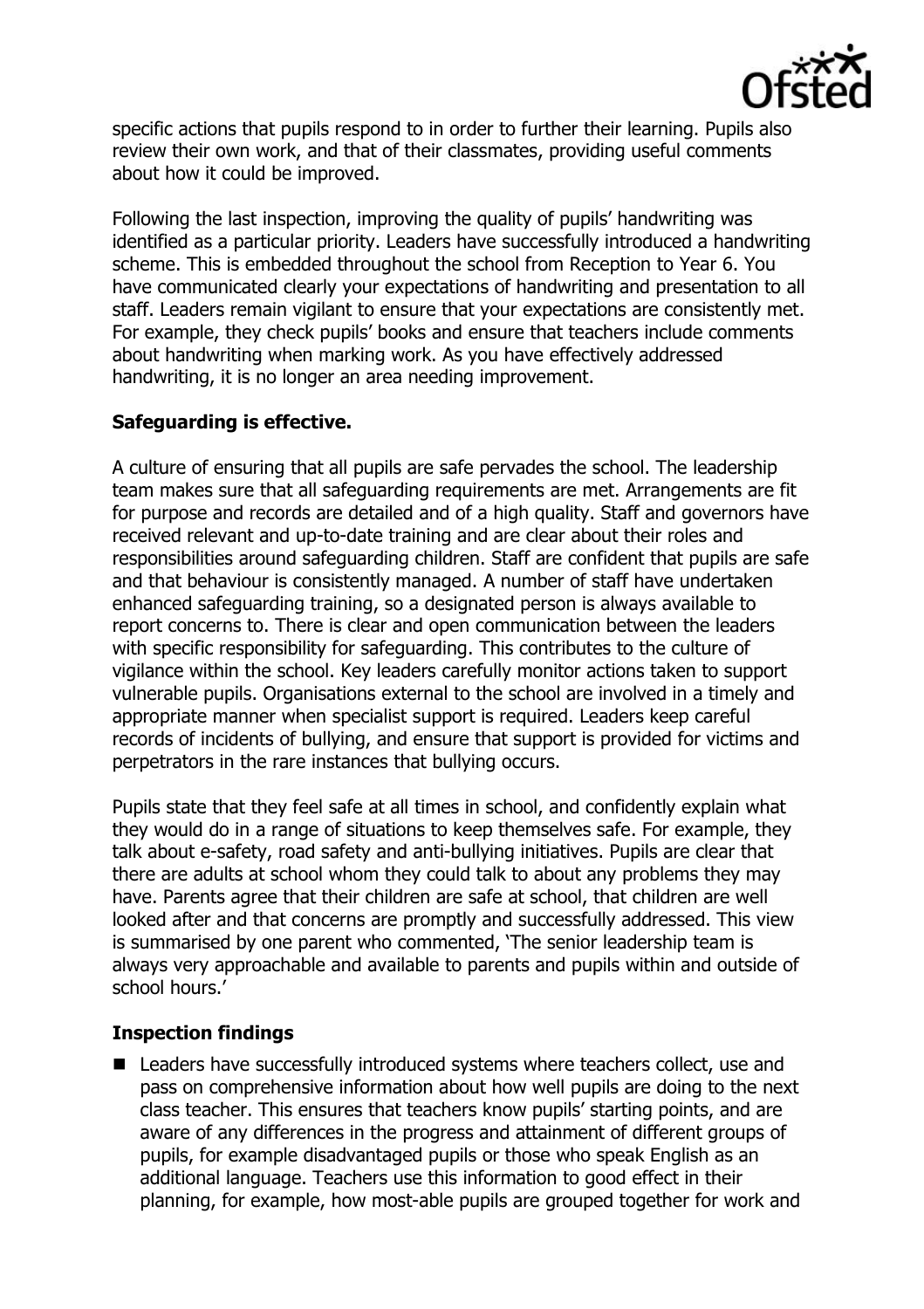

specific actions that pupils respond to in order to further their learning. Pupils also review their own work, and that of their classmates, providing useful comments about how it could be improved.

Following the last inspection, improving the quality of pupils' handwriting was identified as a particular priority. Leaders have successfully introduced a handwriting scheme. This is embedded throughout the school from Reception to Year 6. You have communicated clearly your expectations of handwriting and presentation to all staff. Leaders remain vigilant to ensure that your expectations are consistently met. For example, they check pupils' books and ensure that teachers include comments about handwriting when marking work. As you have effectively addressed handwriting, it is no longer an area needing improvement.

# **Safeguarding is effective.**

A culture of ensuring that all pupils are safe pervades the school. The leadership team makes sure that all safeguarding requirements are met. Arrangements are fit for purpose and records are detailed and of a high quality. Staff and governors have received relevant and up-to-date training and are clear about their roles and responsibilities around safeguarding children. Staff are confident that pupils are safe and that behaviour is consistently managed. A number of staff have undertaken enhanced safeguarding training, so a designated person is always available to report concerns to. There is clear and open communication between the leaders with specific responsibility for safeguarding. This contributes to the culture of vigilance within the school. Key leaders carefully monitor actions taken to support vulnerable pupils. Organisations external to the school are involved in a timely and appropriate manner when specialist support is required. Leaders keep careful records of incidents of bullying, and ensure that support is provided for victims and perpetrators in the rare instances that bullying occurs.

Pupils state that they feel safe at all times in school, and confidently explain what they would do in a range of situations to keep themselves safe. For example, they talk about e-safety, road safety and anti-bullying initiatives. Pupils are clear that there are adults at school whom they could talk to about any problems they may have. Parents agree that their children are safe at school, that children are well looked after and that concerns are promptly and successfully addressed. This view is summarised by one parent who commented, 'The senior leadership team is always very approachable and available to parents and pupils within and outside of school hours.'

### **Inspection findings**

■ Leaders have successfully introduced systems where teachers collect, use and pass on comprehensive information about how well pupils are doing to the next class teacher. This ensures that teachers know pupils' starting points, and are aware of any differences in the progress and attainment of different groups of pupils, for example disadvantaged pupils or those who speak English as an additional language. Teachers use this information to good effect in their planning, for example, how most-able pupils are grouped together for work and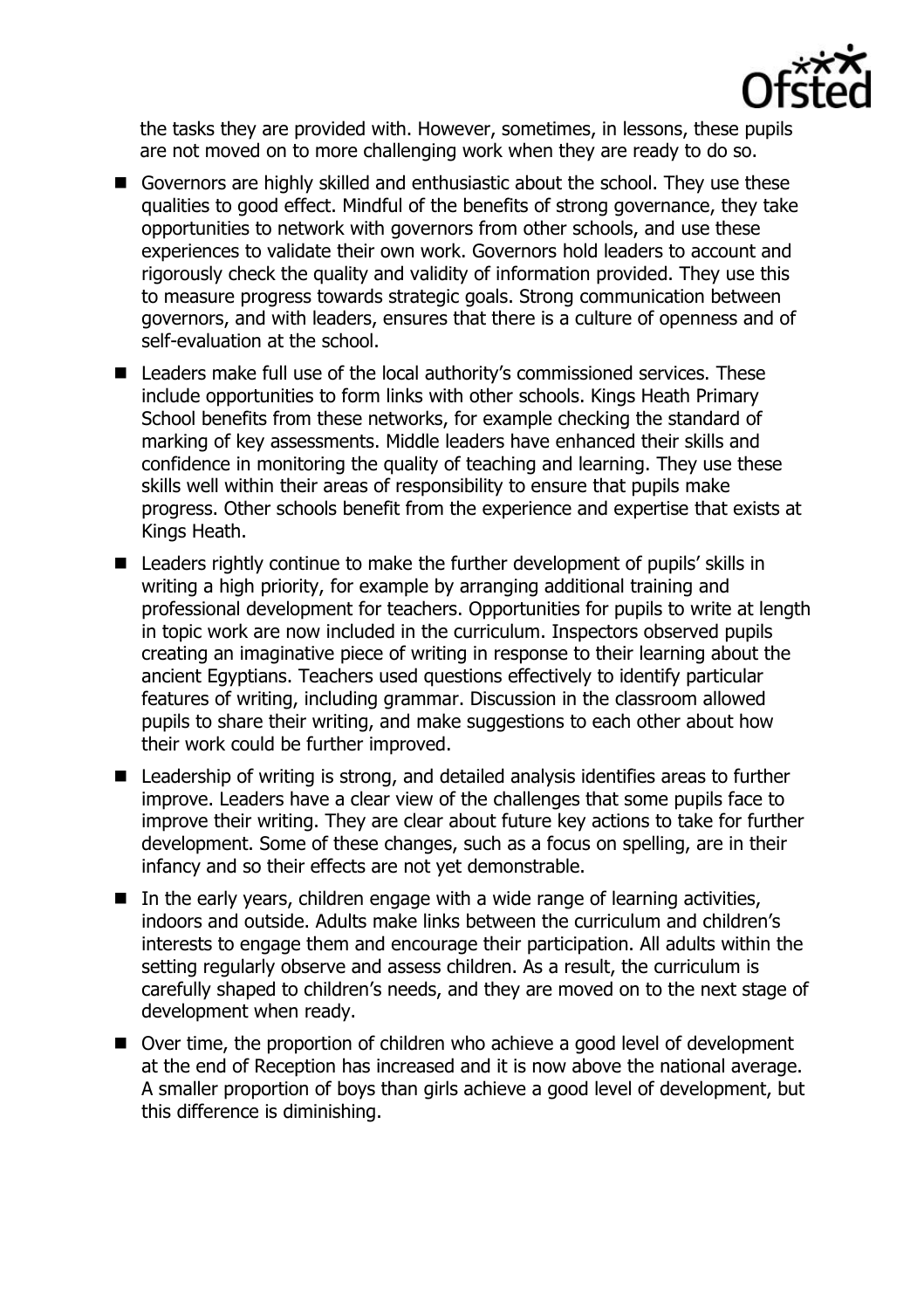

the tasks they are provided with. However, sometimes, in lessons, these pupils are not moved on to more challenging work when they are ready to do so.

- Governors are highly skilled and enthusiastic about the school. They use these qualities to good effect. Mindful of the benefits of strong governance, they take opportunities to network with governors from other schools, and use these experiences to validate their own work. Governors hold leaders to account and rigorously check the quality and validity of information provided. They use this to measure progress towards strategic goals. Strong communication between governors, and with leaders, ensures that there is a culture of openness and of self-evaluation at the school.
- Leaders make full use of the local authority's commissioned services. These include opportunities to form links with other schools. Kings Heath Primary School benefits from these networks, for example checking the standard of marking of key assessments. Middle leaders have enhanced their skills and confidence in monitoring the quality of teaching and learning. They use these skills well within their areas of responsibility to ensure that pupils make progress. Other schools benefit from the experience and expertise that exists at Kings Heath.
- Leaders rightly continue to make the further development of pupils' skills in writing a high priority, for example by arranging additional training and professional development for teachers. Opportunities for pupils to write at length in topic work are now included in the curriculum. Inspectors observed pupils creating an imaginative piece of writing in response to their learning about the ancient Egyptians. Teachers used questions effectively to identify particular features of writing, including grammar. Discussion in the classroom allowed pupils to share their writing, and make suggestions to each other about how their work could be further improved.
- Leadership of writing is strong, and detailed analysis identifies areas to further improve. Leaders have a clear view of the challenges that some pupils face to improve their writing. They are clear about future key actions to take for further development. Some of these changes, such as a focus on spelling, are in their infancy and so their effects are not yet demonstrable.
- $\blacksquare$  In the early years, children engage with a wide range of learning activities, indoors and outside. Adults make links between the curriculum and children's interests to engage them and encourage their participation. All adults within the setting regularly observe and assess children. As a result, the curriculum is carefully shaped to children's needs, and they are moved on to the next stage of development when ready.
- Over time, the proportion of children who achieve a good level of development at the end of Reception has increased and it is now above the national average. A smaller proportion of boys than girls achieve a good level of development, but this difference is diminishing.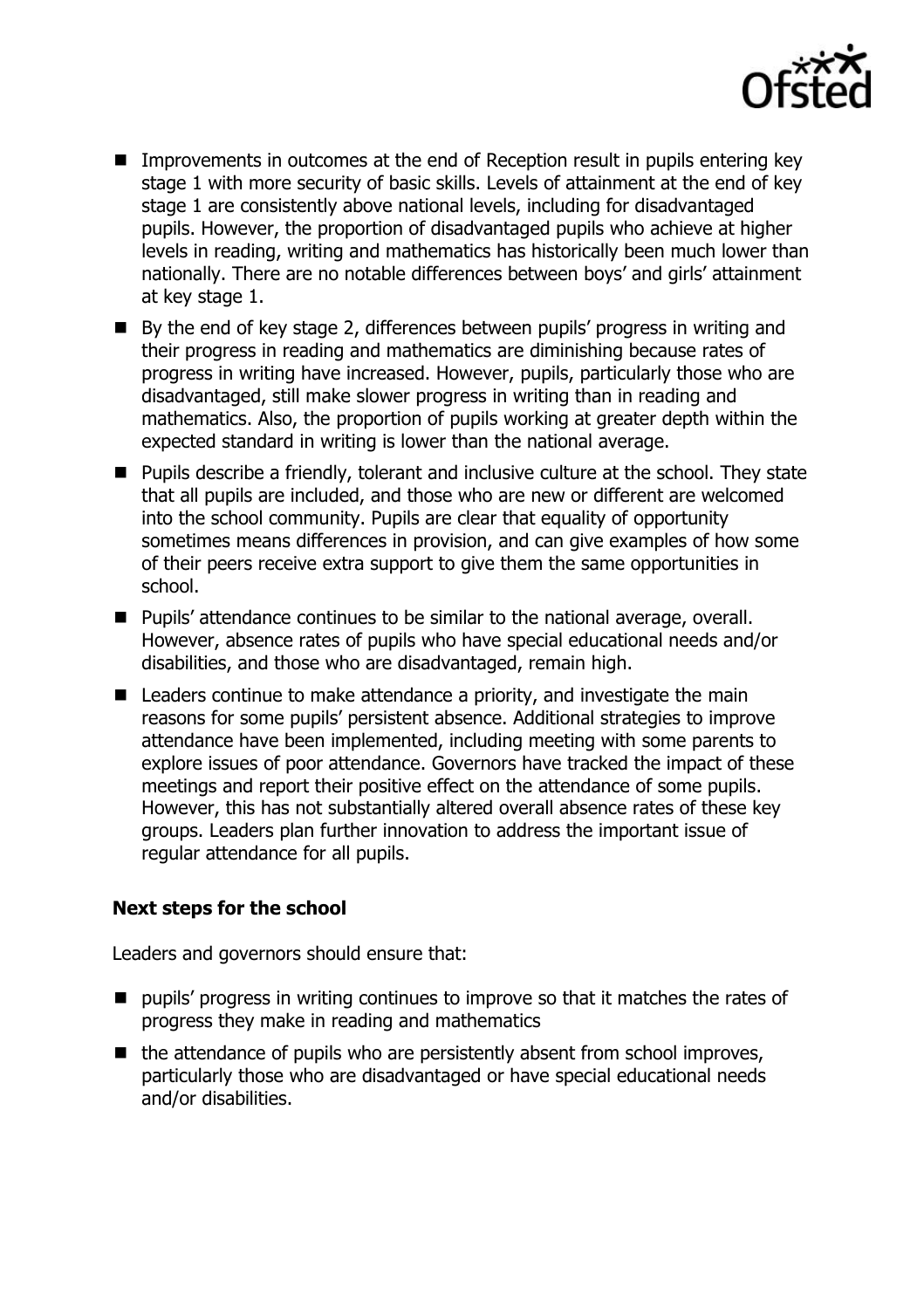

- **IMP** Improvements in outcomes at the end of Reception result in pupils entering key stage 1 with more security of basic skills. Levels of attainment at the end of key stage 1 are consistently above national levels, including for disadvantaged pupils. However, the proportion of disadvantaged pupils who achieve at higher levels in reading, writing and mathematics has historically been much lower than nationally. There are no notable differences between boys' and girls' attainment at key stage 1.
- By the end of key stage 2, differences between pupils' progress in writing and their progress in reading and mathematics are diminishing because rates of progress in writing have increased. However, pupils, particularly those who are disadvantaged, still make slower progress in writing than in reading and mathematics. Also, the proportion of pupils working at greater depth within the expected standard in writing is lower than the national average.
- Pupils describe a friendly, tolerant and inclusive culture at the school. They state that all pupils are included, and those who are new or different are welcomed into the school community. Pupils are clear that equality of opportunity sometimes means differences in provision, and can give examples of how some of their peers receive extra support to give them the same opportunities in school.
- Pupils' attendance continues to be similar to the national average, overall. However, absence rates of pupils who have special educational needs and/or disabilities, and those who are disadvantaged, remain high.
- Leaders continue to make attendance a priority, and investigate the main reasons for some pupils' persistent absence. Additional strategies to improve attendance have been implemented, including meeting with some parents to explore issues of poor attendance. Governors have tracked the impact of these meetings and report their positive effect on the attendance of some pupils. However, this has not substantially altered overall absence rates of these key groups. Leaders plan further innovation to address the important issue of regular attendance for all pupils.

# **Next steps for the school**

Leaders and governors should ensure that:

- **P** pupils' progress in writing continues to improve so that it matches the rates of progress they make in reading and mathematics
- $\blacksquare$  the attendance of pupils who are persistently absent from school improves, particularly those who are disadvantaged or have special educational needs and/or disabilities.